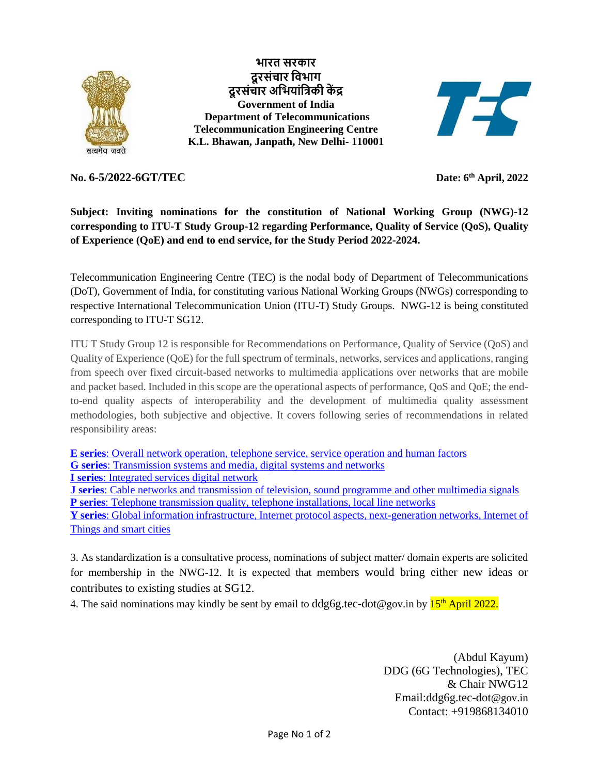

**भारत [सरकार](https://india.gov.in/hi/) [दूरसंचार](https://dot.gov.in/) विभाग दूरसंचार अवभयांविकी कें द्र [Government of India](https://india.gov.in/) [Department of Telecommunications](https://dot.gov.in/) Telecommunication Engineering Centre K.L. Bhawan, Janpath, New Delhi- 110001**



## **No. 6-5/2022-6GT/TEC**

**th April, 2022**

**Subject: Inviting nominations for the constitution of National Working Group (NWG)-12 corresponding to ITU-T Study Group-12 regarding Performance, Quality of Service (QoS), Quality of Experience (QoE) and end to end service, for the Study Period 2022-2024.**

Telecommunication Engineering Centre (TEC) is the nodal body of Department of Telecommunications (DoT), Government of India, for constituting various National Working Groups (NWGs) corresponding to respective International Telecommunication Union (ITU-T) Study Groups. NWG-12 is being constituted corresponding to ITU-T SG12.

ITU T Study Group 12 is responsible for Recommendations on Performance, Quality of Service (QoS) and Quality of Experience (QoE) for the full spectrum of terminals, networks, services and applications, ranging from speech over fixed circuit-based networks to multimedia applications over networks that are mobile and packet based. Included in this scope are the operational aspects of performance, QoS and QoE; the endto-end quality aspects of interoperability and the development of multimedia quality assessment methodologies, both subjective and objective. It covers following series of recommendations in related responsibility areas:

**E series**[: Overall network operation, telephone service, service operation and human factors](javascript:__doPostBack() **G series**[: Transmission systems and media, digital systems and networks](javascript:__doPostBack() **I series**[: Integrated services digital network](javascript:__doPostBack() **J series**[: Cable networks and transmission of television, sound programme and other multimedia signals](javascript:__doPostBack() **P series**[: Telephone transmission quality, telephone installations, local line networks](javascript:__doPostBack() **Y series**[: Global information infrastructure, Internet protocol aspects, next-generation networks, Internet of](javascript:__doPostBack()  [Things and smart cities](javascript:__doPostBack()

3. As standardization is a consultative process, nominations of subject matter/ domain experts are solicited for membership in the NWG-12. It is expected that members would bring either new ideas or contributes to existing studies at SG12.

4. The said nominations may kindly be sent by email to ddg6g.tec-dot@gov.in by 15<sup>th</sup> April 2022.

(Abdul Kayum) DDG (6G Technologies), TEC & Chair NWG12 Email:ddg6g.tec-dot@gov.in Contact: +919868134010